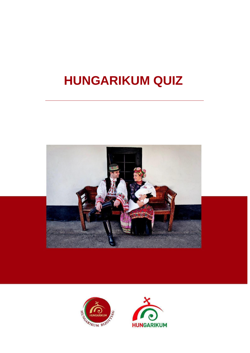# **HUNGARIKUM QUIZ**





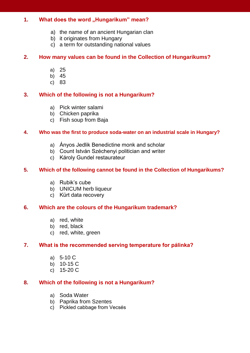# 1. **What does the word "Hungarikum" mean?**

- a) the name of an ancient Hungarian clan
- b) it originates from Hungary
- c) a term for outstanding national values

## **2. How many values can be found in the Collection of Hungarikums?**

- a) 25
- b) 45
- c) 83

## **3. Which of the following is not a Hungarikum?**

- a) Pick winter salami
- b) Chicken paprika
- c) Fish soup from Baja

### **4. Who was the first to produce soda-water on an industrial scale in Hungary?**

- a) Ányos Jedlik Benedictine monk and scholar
- b) Count István Széchenyi politician and writer
- c) Károly Gundel restaurateur

### **5. Which of the following cannot be found in the Collection of Hungarikums?**

- a) Rubik's cube
- b) UNICUM herb liqueur
- c) Kürt data recovery

### **6. Which are the colours of the Hungarikum trademark?**

- a) red, white
- b) red, black
- c) red, white, green

### **7. What is the recommended serving temperature for pálinka?**

- a) 5-10 C
- b) 10-15 C
- c) 15-20 C

# **8. Which of the following is not a Hungarikum?**

- a) Soda Water
- b) Paprika from Szentes
- c) Pickled cabbage from Vecsés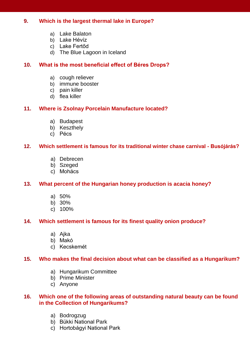# **9. Which is the largest thermal lake in Europe?**

- a) Lake Balaton
- b) Lake Hévíz
- c) Lake Fertőd
- d) The Blue Lagoon in Iceland

# **10. What is the most beneficial effect of Béres Drops?**

- a) cough reliever
- b) immune booster
- c) pain killer
- d) flea killer

# **11. Where is Zsolnay Porcelain Manufacture located?**

- a) Budapest
- b) Keszthely
- c) Pécs

# **12. Which settlement is famous for its traditional winter chase carnival - Busójárás?**

- a) Debrecen
- b) Szeged
- c) Mohács

# **13. What percent of the Hungarian honey production is acacia honey?**

- a) 50%
- b) 30%
- c) 100%

# **14. Which settlement is famous for its finest quality onion produce?**

- a) Ajka
- b) Makó
- c) Kecskemét

# **15. Who makes the final decision about what can be classified as a Hungarikum?**

- a) Hungarikum Committee
- b) Prime Minister
- c) Anyone

## **16. Which one of the following areas of outstanding natural beauty can be found in the Collection of Hungarikums?**

- a) Bodrogzug
- b) Bükki National Park
- c) Hortobágyi National Park